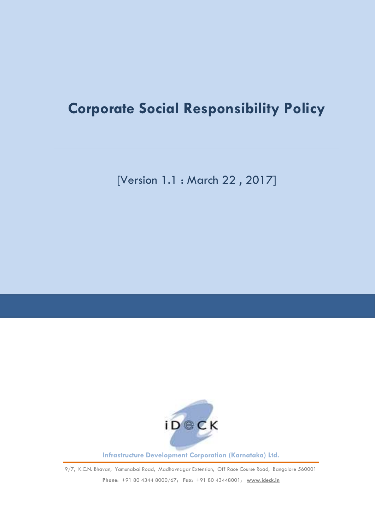# **Corporate Social Responsibility Policy**

[Version 1.1 : March 22 , 2017]



**Infrastructure Development Corporation (Karnataka) Ltd.**

9/7, K.C.N. Bhavan, Yamunabai Road, Madhavnagar Extension, Off Race Course Road, Bangalore 560001

**Phone**: +91 80 4344 8000/67; **Fax**: +91 80 43448001; **[www.ideck.in](http://www.ideck.in/)**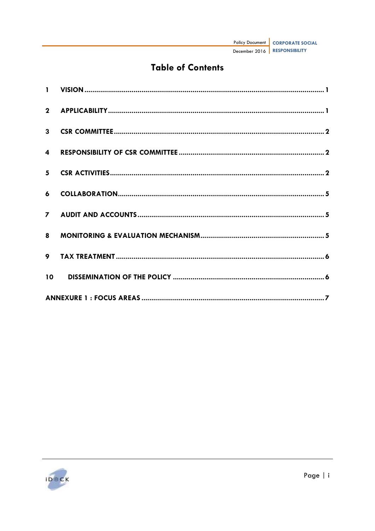| Policy Document   CORPORATE SOCIAL |
|------------------------------------|
| December 2016   RESPONSIBILITY     |

# **Table of Contents**

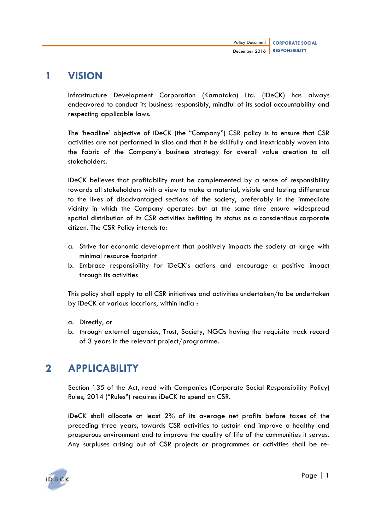### <span id="page-3-0"></span>**1 VISION**

Infrastructure Development Corporation (Karnataka) Ltd. (iDeCK) has always endeavored to conduct its business responsibly, mindful of its social accountability and respecting applicable laws.

The "headline" objective of iDeCK (the "Company") CSR policy is to ensure that CSR activities are not performed in silos and that it be skillfully and inextricably woven into the fabric of the Company"s business strategy for overall value creation to all stakeholders.

iDeCK believes that profitability must be complemented by a sense of responsibility towards all stakeholders with a view to make a material, visible and lasting difference to the lives of disadvantaged sections of the society, preferably in the immediate vicinity in which the Company operates but at the same time ensure widespread spatial distribution of its CSR activities befitting its status as a conscientious corporate citizen. The CSR Policy intends to:

- a. Strive for economic development that positively impacts the society at large with minimal resource footprint
- b. Embrace responsibility for iDeCK"s actions and encourage a positive impact through its activities

This policy shall apply to all CSR initiatives and activities undertaken/to be undertaken by iDeCK at various locations, within India :

- a. Directly, or
- b. through external agencies, Trust, Society, NGOs having the requisite track record of 3 years in the relevant project/programme.

# <span id="page-3-1"></span>**2 APPLICABILITY**

Section 135 of the Act, read with Companies (Corporate Social Responsibility Policy) Rules, 2014 ("Rules") requires iDeCK to spend on CSR.

iDeCK shall allocate at least 2% of its average net profits before taxes of the preceding three years, towards CSR activities to sustain and improve a healthy and prosperous environment and to improve the quality of life of the communities it serves. Any surpluses arising out of CSR projects or programmes or activities shall be re-

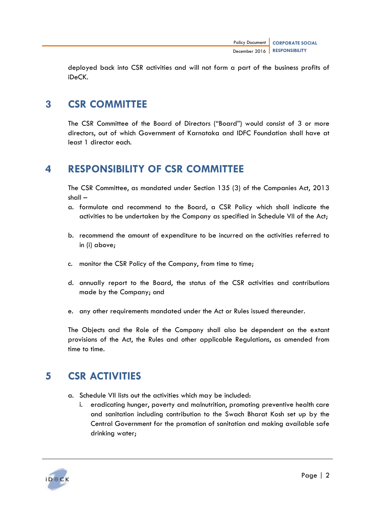deployed back into CSR activities and will not form a part of the business profits of iDeCK.

# <span id="page-4-0"></span>**3 CSR COMMITTEE**

The CSR Committee of the Board of Directors ("Board") would consist of 3 or more directors, out of which Government of Karnataka and IDFC Foundation shall have at least 1 director each.

# <span id="page-4-1"></span>**4 RESPONSIBILITY OF CSR COMMITTEE**

The CSR Committee, as mandated under Section 135 (3) of the Companies Act, 2013 shall –

- a. formulate and recommend to the Board, a CSR Policy which shall indicate the activities to be undertaken by the Company as specified in Schedule VII of the Act;
- b. recommend the amount of expenditure to be incurred on the activities referred to in (i) above;
- c. monitor the CSR Policy of the Company, from time to time;
- d. annually report to the Board, the status of the CSR activities and contributions made by the Company; and
- e. any other requirements mandated under the Act or Rules issued thereunder.

The Objects and the Role of the Company shall also be dependent on the extant provisions of the Act, the Rules and other applicable Regulations, as amended from time to time.

# <span id="page-4-2"></span>**5 CSR ACTIVITIES**

- a. Schedule VII lists out the activities which may be included:
	- i. eradicating hunger, poverty and malnutrition, promoting preventive health care and sanitation including contribution to the Swach Bharat Kosh set up by the Central Government for the promotion of sanitation and making available safe drinking water;

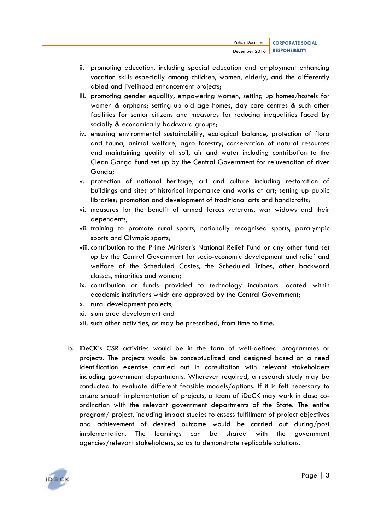- ii. promoting education, including special education and employment enhancing vocation skills especially among children, women, elderly, and the differently abled and livelihood enhancement projects;
- iii. promoting gender equality, empowering women, setting up homes/hostels for women & orphans; setting up old age homes, day care centres & such other facilities for senior citizens and measures for reducing inequalities faced by socially & economically backward groups;
- iv. ensuring environmental sustainability, ecological balance, protection of flora and fauna, animal welfare, agro forestry, conservation of natural resources and maintaining quality of soil, air and water including contribution to the Clean Ganga Fund set up by the Central Government for rejuvenation of river Ganga;
- v. protection of national heritage, art and culture including restoration of buildings and sites of historical importance and works of art; setting up public libraries; promotion and development of traditional arts and handicrafts;
- vi. measures for the benefit of armed forces veterans, war widows and their dependents;
- vii. training to promote rural sports, nationally recognised sports, paralympic sports and Olympic sports;
- viii.contribution to the Prime Minister"s National Relief Fund or any other fund set up by the Central Government for socio-economic development and relief and welfare of the Scheduled Castes, the Scheduled Tribes, other backward classes, minorities and women;
- ix. contribution or funds provided to technology incubators located within academic institutions which are approved by the Central Government;
- x. rural development projects;
- xi. slum area development and
- xii. such other activities, as may be prescribed, from time to time.
- b. iDeCK"s CSR activities would be in the form of well-defined programmes or projects. The projects would be conceptualized and designed based on a need identification exercise carried out in consultation with relevant stakeholders including government departments. Wherever required, a research study may be conducted to evaluate different feasible models/options. If it is felt necessary to ensure smooth implementation of projects, a team of iDeCK may work in close coordination with the relevant government departments of the State. The entire program/ project, including impact studies to assess fulfillment of project objectives and achievement of desired outcome would be carried out during/post implementation. The learnings can be shared with the government agencies/relevant stakeholders, so as to demonstrate replicable solutions.

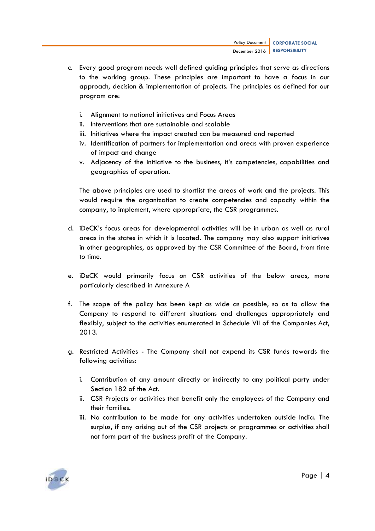- c. Every good program needs well defined guiding principles that serve as directions to the working group. These principles are important to have a focus in our approach, decision & implementation of projects. The principles as defined for our program are:
	- i. Alignment to national initiatives and Focus Areas
	- ii. Interventions that are sustainable and scalable
	- iii. Initiatives where the impact created can be measured and reported
	- iv. Identification of partners for implementation and areas with proven experience of impact and change
	- v. Adjacency of the initiative to the business, it"s competencies, capabilities and geographies of operation.

The above principles are used to shortlist the areas of work and the projects. This would require the organization to create competencies and capacity within the company, to implement, where appropriate, the CSR programmes.

- d. iDeCK"s focus areas for developmental activities will be in urban as well as rural areas in the states in which it is located. The company may also support initiatives in other geographies, as approved by the CSR Committee of the Board, from time to time.
- e. iDeCK would primarily focus on CSR activities of the below areas, more particularly described in Annexure A
- f. The scope of the policy has been kept as wide as possible, so as to allow the Company to respond to different situations and challenges appropriately and flexibly, subject to the activities enumerated in Schedule VII of the Companies Act, 2013.
- g. Restricted Activities The Company shall not expend its CSR funds towards the following activities:
	- i. Contribution of any amount directly or indirectly to any political party under Section 182 of the Act.
	- ii. CSR Projects or activities that benefit only the employees of the Company and their families.
	- iii. No contribution to be made for any activities undertaken outside India. The surplus, if any arising out of the CSR projects or programmes or activities shall not form part of the business profit of the Company.

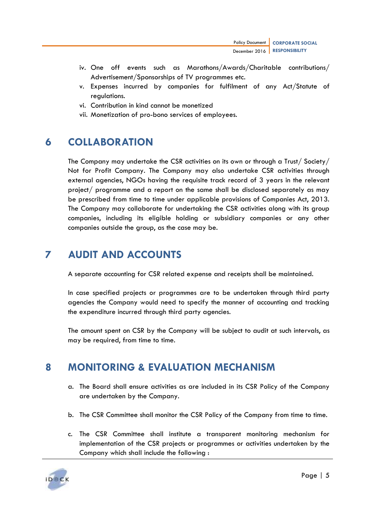- iv. One off events such as Marathons/Awards/Charitable contributions/ Advertisement/Sponsorships of TV programmes etc.
- v. Expenses incurred by companies for fulfilment of any Act/Statute of regulations.
- vi. Contribution in kind cannot be monetized
- vii. Monetization of pro-bono services of employees.

## <span id="page-7-0"></span>**6 COLLABORATION**

The Company may undertake the CSR activities on its own or through a Trust/ Society/ Not for Profit Company. The Company may also undertake CSR activities through external agencies, NGOs having the requisite track record of 3 years in the relevant project/ programme and a report on the same shall be disclosed separately as may be prescribed from time to time under applicable provisions of Companies Act, 2013. The Company may collaborate for undertaking the CSR activities along with its group companies, including its eligible holding or subsidiary companies or any other companies outside the group, as the case may be.

# <span id="page-7-1"></span>**7 AUDIT AND ACCOUNTS**

A separate accounting for CSR related expense and receipts shall be maintained.

In case specified projects or programmes are to be undertaken through third party agencies the Company would need to specify the manner of accounting and tracking the expenditure incurred through third party agencies.

The amount spent on CSR by the Company will be subject to audit at such intervals, as may be required, from time to time.

# <span id="page-7-2"></span>**8 MONITORING & EVALUATION MECHANISM**

- a. The Board shall ensure activities as are included in its CSR Policy of the Company are undertaken by the Company.
- b. The CSR Committee shall monitor the CSR Policy of the Company from time to time.
- c. The CSR Committee shall institute a transparent monitoring mechanism for implementation of the CSR projects or programmes or activities undertaken by the Company which shall include the following :

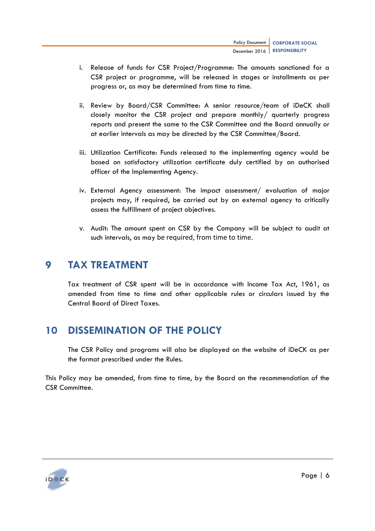- i. Release of funds for CSR Project/Programme: The amounts sanctioned for a CSR project or programme, will be released in stages or installments as per progress or, as may be determined from time to time.
- ii. Review by Board/CSR Committee: A senior resource/team of iDeCK shall closely monitor the CSR project and prepare monthly/ quarterly progress reports and present the same to the CSR Committee and the Board annually or at earlier intervals as may be directed by the CSR Committee/Board.
- iii. Utilization Certificate: Funds released to the implementing agency would be based on satisfactory utilization certificate duly certified by an authorised officer of the Implementing Agency.
- iv. External Agency assessment: The impact assessment/ evaluation of major projects may, if required, be carried out by an external agency to critically assess the fulfillment of project objectives.
- v. Audit: The amount spent on CSR by the Company will be subject to audit at such intervals, as may be required, from time to time.

### <span id="page-8-0"></span>**9 TAX TREATMENT**

Tax treatment of CSR spent will be in accordance with Income Tax Act, 1961, as amended from time to time and other applicable rules or circulars issued by the Central Board of Direct Taxes.

# <span id="page-8-1"></span>**10 DISSEMINATION OF THE POLICY**

The CSR Policy and programs will also be displayed on the website of iDeCK as per the format prescribed under the Rules.

This Policy may be amended, from time to time, by the Board on the recommendation of the CSR Committee.

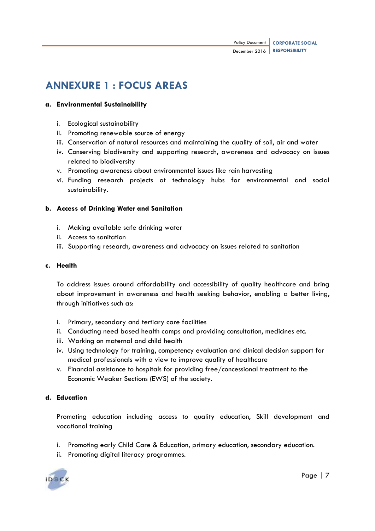# <span id="page-9-0"></span>**ANNEXURE 1 : FOCUS AREAS**

### **a. Environmental Sustainability**

- i. Ecological sustainability
- ii. Promoting renewable source of energy
- iii. Conservation of natural resources and maintaining the quality of soil, air and water
- iv. Conserving biodiversity and supporting research, awareness and advocacy on issues related to biodiversity
- v. Promoting awareness about environmental issues like rain harvesting
- vi. Funding research projects at technology hubs for environmental and social sustainability.

### **b. Access of Drinking Water and Sanitation**

- i. Making available safe drinking water
- ii. Access to sanitation
- iii. Supporting research, awareness and advocacy on issues related to sanitation

### **c. Health**

To address issues around affordability and accessibility of quality healthcare and bring about improvement in awareness and health seeking behavior, enabling a better living, through initiatives such as:

- i. Primary, secondary and tertiary care facilities
- ii. Conducting need based health camps and providing consultation, medicines etc.
- iii. Working on maternal and child health
- iv. Using technology for training, competency evaluation and clinical decision support for medical professionals with a view to improve quality of healthcare
- v. Financial assistance to hospitals for providing free/concessional treatment to the Economic Weaker Sections (EWS) of the society.

### **d. Education**

Promoting education including access to quality education, Skill development and vocational training

- i. Promoting early Child Care & Education, primary education, secondary education.
- ii. Promoting digital literacy programmes.